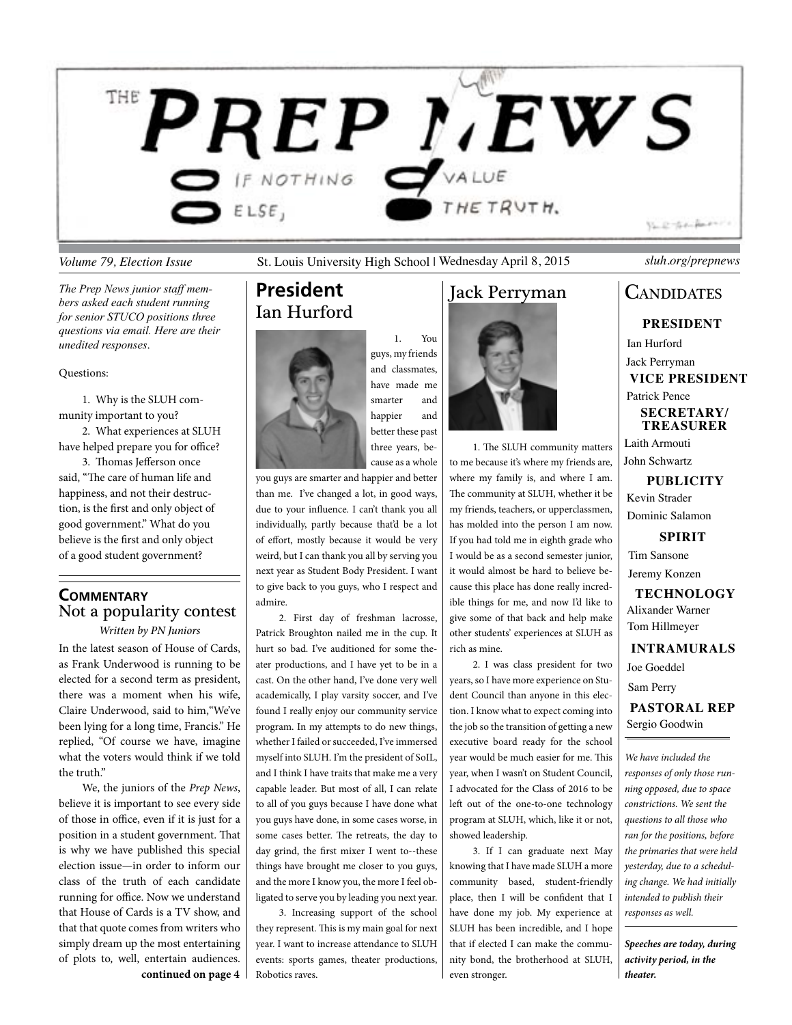

*Volume 79, Election Issue* St. Louis University High School | Wednesday April 8, 2015 *sluh.org/prepnews*

1. You

*The Prep News junior staff members asked each student running for senior STUCO positions three questions via email. Here are their unedited responses*.

### Questions:

1. Why is the SLUH community important to you?

2. What experiences at SLUH have helped prepare you for office?

3. Thomas Jefferson once said, "The care of human life and happiness, and not their destruction, is the first and only object of good government." What do you believe is the first and only object of a good student government?

### **Commentary** Not a popularity contest

In the latest season of House of Cards, *Written by PN Juniors*

as Frank Underwood is running to be elected for a second term as president, there was a moment when his wife, Claire Underwood, said to him,"We've been lying for a long time, Francis." He replied, "Of course we have, imagine what the voters would think if we told the truth."

We, the juniors of the *Prep News*, believe it is important to see every side of those in office, even if it is just for a position in a student government. That is why we have published this special election issue—in order to inform our class of the truth of each candidate running for office. Now we understand that House of Cards is a TV show, and that that quote comes from writers who simply dream up the most entertaining of plots to, well, entertain audiences. **continued on page 4**

## **President** Ian Hurford



guys, my friends and classmates, have made me smarter and happier and better these past three years, because as a whole

you guys are smarter and happier and better than me. I've changed a lot, in good ways, due to your influence. I can't thank you all individually, partly because that'd be a lot of effort, mostly because it would be very weird, but I can thank you all by serving you next year as Student Body President. I want to give back to you guys, who I respect and admire.

2. First day of freshman lacrosse, Patrick Broughton nailed me in the cup. It hurt so bad. I've auditioned for some theater productions, and I have yet to be in a cast. On the other hand, I've done very well academically, I play varsity soccer, and I've found I really enjoy our community service program. In my attempts to do new things, whether I failed or succeeded, I've immersed myself into SLUH. I'm the president of SoIL, and I think I have traits that make me a very capable leader. But most of all, I can relate to all of you guys because I have done what you guys have done, in some cases worse, in some cases better. The retreats, the day to day grind, the first mixer I went to--these things have brought me closer to you guys, and the more I know you, the more I feel obligated to serve you by leading you next year.

3. Increasing support of the school they represent. This is my main goal for next year. I want to increase attendance to SLUH events: sports games, theater productions, Robotics raves.

## Jack Perryman



1. The SLUH community matters to me because it's where my friends are, where my family is, and where I am. The community at SLUH, whether it be my friends, teachers, or upperclassmen, has molded into the person I am now. If you had told me in eighth grade who I would be as a second semester junior, it would almost be hard to believe because this place has done really incredible things for me, and now I'd like to give some of that back and help make other students' experiences at SLUH as rich as mine.

2. I was class president for two years, so I have more experience on Student Council than anyone in this election. I know what to expect coming into the job so the transition of getting a new executive board ready for the school year would be much easier for me. This year, when I wasn't on Student Council, I advocated for the Class of 2016 to be left out of the one-to-one technology program at SLUH, which, like it or not, showed leadership.

3. If I can graduate next May knowing that I have made SLUH a more community based, student-friendly place, then I will be confident that I have done my job. My experience at SLUH has been incredible, and I hope that if elected I can make the community bond, the brotherhood at SLUH, even stronger.

## **CANDIDATES**

**President**

Ian Hurford Jack Perryman **Vice President** Patrick Pence **Secretary/ Treasurer**

Laith Armouti John Schwartz

**Publicity** Kevin Strader Dominic Salamon

**SPIRIT** Tim Sansone

Jeremy Konzen

**Technology** Alixander Warner Tom Hillmeyer

**Intramurals**

Joe Goeddel Sam Perry

**Pastoral Rep** Sergio Goodwin

*We have included the responses of only those running opposed, due to space constrictions. We sent the questions to all those who ran for the positions, before the primaries that were held yesterday, due to a scheduling change. We had initially intended to publish their responses as well.* 

*Speeches are today, during activity period, in the theater.*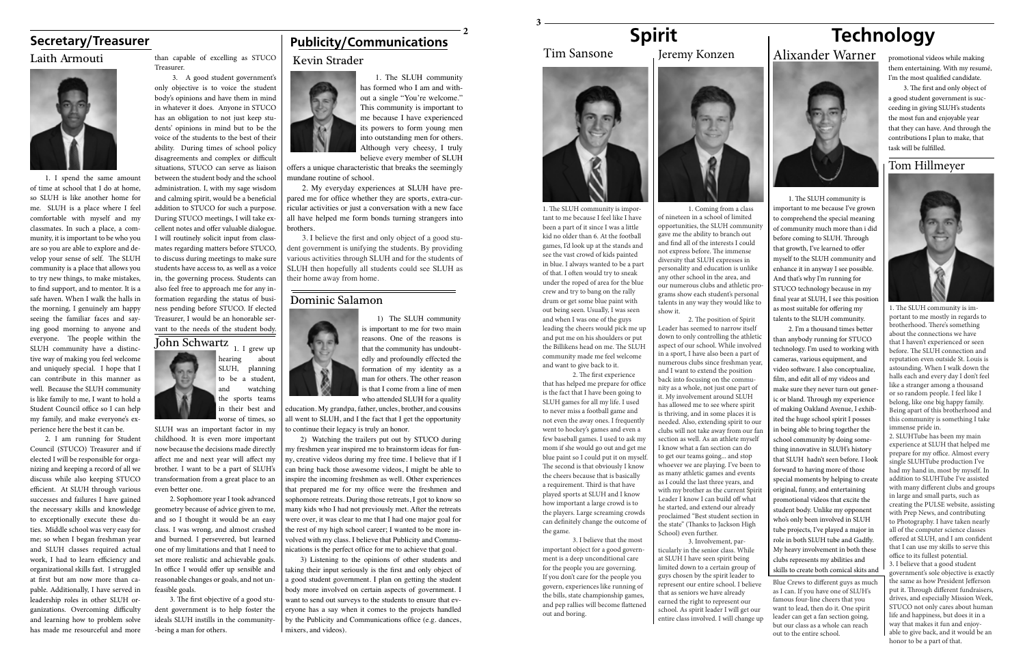## **Secretary/Treasurer**



1. The SLUH community has formed who I am and without a single "You're welcome." This community is important to me because I have experienced its powers to form young men into outstanding men for others. Although very cheesy, I truly believe every member of SLUH

offers a unique characteristic that breaks the seemingly mundane routine of school.

2. My everyday experiences at SLUH have prepared me for office whether they are sports, extra-curricular activities or just a conversation with a new face all have helped me form bonds turning strangers into brothers.

3. I believe the first and only object of a good student government is unifying the students. By providing various activities through SLUH and for the students of SLUH then hopefully all students could see SLUH as their home away from home.

### Dominic Salamon



3) Listening to the opinions of other students and taking their input seriously is the first and only object of a good student government. I plan on getting the student body more involved on certain aspects of government. I want to send out surveys to the students to ensure that everyone has a say when it comes to the projects handled by the Publicity and Communications office (e.g. dances, mixers, and videos).

1) The SLUH community is important to me for two main reasons. One of the reasons is that the community has undoubtedly and profoundly effected the formation of my identity as a man for others. The other reason is that I come from a line of men who attended SLUH for a quality

education. My grandpa, father, uncles, brother, and cousins all went to SLUH, and I the fact that I get the opportunity to continue their legacy is truly an honor.

2) Watching the trailers put out by STUCO during my freshmen year inspired me to brainstorm ideas for funny, creative videos during my free time. I believe that if I can bring back those awesome videos, I might be able to inspire the incoming freshmen as well. Other experiences that prepared me for my office were the freshmen and sophomore retreats. During those retreats, I got to know so many kids who I had not previously met. After the retreats were over, it was clear to me that I had one major goal for the rest of my high school career; I wanted to be more involved with my class. I believe that Publicity and Communications is the perfect office for me to achieve that goal.

Laith Armouti than capable of excelling as STUCO Kevin Strader Treasurer.

1. I spend the same amount of time at school that I do at home, so SLUH is like another home for me. SLUH is a place where I feel comfortable with myself and my classmates. In such a place, a community, it is important to be who you are so you are able to explore and develop your sense of self. The SLUH community is a place that allows you to try new things, to make mistakes, to find support, and to mentor. It is a safe haven. When I walk the halls in the morning, I genuinely am happy seeing the familiar faces and saying good morning to anyone and everyone. The people within the SLUH community have a distinctive way of making you feel welcome and uniquely special. I hope that I can contribute in this manner as well. Because the SLUH community is like family to me, I want to hold a Student Council office so I can help my family, and make everyone's experience here the best it can be.

3. A good student government's only objective is to voice the student body's opinions and have them in mind in whatever it does. Anyone in STUCO has an obligation to not just keep students' opinions in mind but to be the voice of the students to the best of their ability. During times of school policy disagreements and complex or difficult situations, STUCO can serve as liaison between the student body and the school administration. I, with my sage wisdom and calming spirit, would be a beneficial addition to STUCO for such a purpose. During STUCO meetings, I will take excellent notes and offer valuable dialogue. I will routinely solicit input from classmates regarding matters before STUCO, to discuss during meetings to make sure students have access to, as well as a voice in, the governing process. Students can also feel free to approach me for any information regarding the status of business pending before STUCO. If elected Treasurer, I would be an honorable servant to the needs of the student body.

## John Schwartz 1. I grew up

2. I am running for Student Council (STUCO) Treasurer and if elected I will be responsible for organizing and keeping a record of all we discuss while also keeping STUCO efficient. At SLUH through various successes and failures I have gained the necessary skills and knowledge to exceptionally execute these duties. Middle school was very easy for me; so when I began freshman year and SLUH classes required actual work, I had to learn efficiency and organizational skills fast. I struggled at first but am now more than capable. Additionally, I have served in leadership roles in other SLUH organizations. Overcoming difficulty and learning how to problem solve has made me resourceful and more

hearing about SLUH, planning to be a student, and watching the sports teams in their best and worse of times, so

SLUH was an important factor in my childhood. It is even more important now because the decisions made directly affect me and next year will affect my brother. I want to be a part of SLUH's transformation from a great place to an even better one.

2. Sophomore year I took advanced geometry because of advice given to me, and so I thought it would be an easy class. I was wrong, and almost crashed and burned. I persevered, but learned one of my limitations and that I need to set more realistic and achievable goals. In office I would offer up sensible and reasonable changes or goals, and not unfeasible goals.

3. The first objective of a good student government is to help foster the ideals SLUH instills in the community- -being a man for others.

## **Publicity/Communications**



**<sup>2</sup> Spirit** 



### Tim Sansone

1. The SLUH community is important to me because I feel like I have been a part of it since I was a little kid no older than 6. At the football games, I'd look up at the stands and see the vast crowd of kids painted in blue. I always wanted to be a part of that. I often would try to sneak under the roped of area for the blue crew and try to bang on the rally drum or get some blue paint with out being seen. Usually, I was seen and when I was one of the guys leading the cheers would pick me up and put me on his shoulders or put the Billikens head on me. The SLUH community made me feel welcome and want to give back to it.

2. The first experience that has helped me prepare for office is the fact that I have been going to SLUH games for all my life. I used to never miss a football game and not even the away ones. I frequently went to hockey's games and even a few baseball games. I used to ask my mom if she would go out and get me blue paint so I could put it on myself. The second is that obviously I know the cheers because that is basically a requirement. Third is that have played sports at SLUH and I know how important a large crowd is to the players. Large screaming crowds can definitely change the outcome of the game.

3. I believe that the most important object for a good government is a deep unconditional care for the people you are governing. If you don't care for the people you govern, experiences like running of the bills, state championship games, and pep rallies will become flattened out and boring.



## Jeremy Konzen

1. Coming from a class of nineteen in a school of limited opportunities, the SLUH community gave me the ability to branch out and find all of the interests I could not express before. The immense diversity that SLUH expresses in personality and education is unlike any other school in the area, and our numerous clubs and athletic programs show each student's personal talents in any way they would like to show it.

2. The position of Spirit Leader has seemed to narrow itself down to only controlling the athletic aspect of our school. While involved in a sport, I have also been a part of numerous clubs since freshman year, and I want to extend the position back into focusing on the community as a whole, not just one part of it. My involvement around SLUH has allowed me to see where spirit is thriving, and in some places it is needed. Also, extending spirit to our clubs will not take away from our fan section as well. As an athlete myself I know what a fan section can do to get our teams going... and stop whoever we are playing. I've been to as many athletic games and events as I could the last three years, and with my brother as the current Spirit Leader I know I can build off what he started, and extend our already proclaimed "Best student section in the state" (Thanks to Jackson High School) even further.

3. Involvement, particularly in the senior class. While at SLUH I have seen spirit being limited down to a certain group of guys chosen by the spirit leader to represent our entire school. I believe that as seniors we have already earned the right to represent our school. As spirit leader I will get our entire class involved. I will change up

Blue Crews to different guys as much as I can. If you have one of SLUH's famous four-line cheers that you want to lead, then do it. One spirit leader can get a fan section going, but our class as a whole can reach out to the entire school.

## **Technology** Alixander Warner



1. The SLUH community is important to me because I've grown to comprehend the special meaning of community much more than i did before coming to SLUH. Through that growth, I've learned to offer myself to the SLUH community and enhance it in anyway I see possible. And that's why I'm running for STUCO technology because in my final year at SLUH, I see this position as most suitable for offering my talents to the SLUH community.

2. I'm a thousand times better than anybody running for STUCO technology. I'm used to working with cameras, various equipment, and video software. I also conceptualize, film, and edit all of my videos and make sure they never turn out generic or bland. Through my experience of making Oakland Avenue, I exhibited the huge school spirit I posses in being able to bring together the school community by doing something innovative in SLUH's history that SLUH hadn't seen before. I look forward to having more of those special moments by helping to create original, funny, and entertaining promotional videos that excite the student body. Unlike my opponent who's only been involved in SLUH tube projects, I've played a major in role in both SLUH tube and Gadfly. My heavy involvement in both these clubs represents my abilities and skills to create both comical skits and

promotional videos while making them entertaining. With my resumé, I'm the most qualified candidate.

3. The first and only object of a good student government is succeeding in giving SLUH's students the most fun and enjoyable year that they can have. And through the contributions I plan to make, that task will be fulfilled.

## Tom Hillmeyer



1. The SLUH community is important to me mostly in regards to brotherhood. There's something about the connections we have that I haven't experienced or seen before. The SLUH connection and reputation even outside St. Louis is astounding. When I walk down the halls each and every day I don't feel like a stranger among a thousand or so random people. I feel like I belong, like one big happy family. Being apart of this brotherhood and this community is something I take immense pride in.

2. SLUHTube has been my main experience at SLUH that helped me prepare for my office. Almost every single SLUHTube production I've had my hand in, most by myself. In addition to SLUHTube I've assisted with many different clubs and groups in large and small parts, such as creating the PULSE website, assisting with Prep News, and contributing to Photography. I have taken nearly all of the computer science classes offered at SLUH, and I am confident that I can use my skills to serve this office to its fullest potential. 3. I believe that a good student government's sole objective is exactly the same as how President Jefferson put it. Through different fundraisers, drives, and especially Mission Week, STUCO not only cares about human life and happiness, but does it in a way that makes it fun and enjoyable to give back, and it would be an honor to be a part of that.

**3**